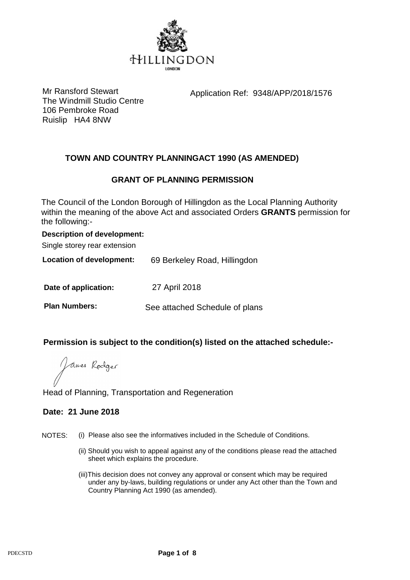

Mr Ransford Stewart **Application Ref: 9348/APP/2018/1576** 

The Windmill Studio Centre 106 Pembroke Road Ruislip HA4 8NW

# **TOWN AND COUNTRY PLANNINGACT 1990 (AS AMENDED)**

# **GRANT OF PLANNING PERMISSION**

The Council of the London Borough of Hillingdon as the Local Planning Authority within the meaning of the above Act and associated Orders **GRANTS** permission for the following:-

### **Description of development:**

Single storey rear extension

**Location of development:** 69 Berkeley Road, Hillingdon

**Date of application:** 27 April 2018

**Plan Numbers:** See attached Schedule of plans

## **Permission is subject to the condition(s) listed on the attached schedule:-**

James Rodger

## Head of Planning, Transportation and Regeneration

## **Date: 21 June 2018**

- NOTES: (i) Please also see the informatives included in the Schedule of Conditions.
	- (ii) Should you wish to appeal against any of the conditions please read the attached sheet which explains the procedure.
	- (iii)This decision does not convey any approval or consent which may be required under any by-laws, building regulations or under any Act other than the Town and Country Planning Act 1990 (as amended).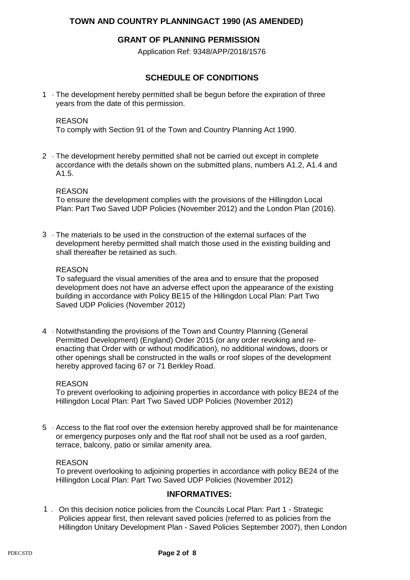## **TOWN AND COUNTRY PLANNINGACT 1990 (AS AMENDED)**

### **GRANT OF PLANNING PERMISSION**

Application Ref: 9348/APP/2018/1576

## **SCHEDULE OF CONDITIONS**

1 The development hereby permitted shall be begun before the expiration of three years from the date of this permission.

#### REASON

To comply with Section 91 of the Town and Country Planning Act 1990.

2 The development hereby permitted shall not be carried out except in complete accordance with the details shown on the submitted plans, numbers A1.2, A1.4 and A1.5.

#### REASON

To ensure the development complies with the provisions of the Hillingdon Local Plan: Part Two Saved UDP Policies (November 2012) and the London Plan (2016).

3 The materials to be used in the construction of the external surfaces of the development hereby permitted shall match those used in the existing building and shall thereafter be retained as such.

#### REASON

To safeguard the visual amenities of the area and to ensure that the proposed development does not have an adverse effect upon the appearance of the existing building in accordance with Policy BE15 of the Hillingdon Local Plan: Part Two Saved UDP Policies (November 2012)

4 · Notwithstanding the provisions of the Town and Country Planning (General Permitted Development) (England) Order 2015 (or any order revoking and reenacting that Order with or without modification), no additional windows, doors or other openings shall be constructed in the walls or roof slopes of the development hereby approved facing 67 or 71 Berkley Road.

#### REASON

To prevent overlooking to adjoining properties in accordance with policy BE24 of the Hillingdon Local Plan: Part Two Saved UDP Policies (November 2012)

5 Access to the flat roof over the extension hereby approved shall be for maintenance or emergency purposes only and the flat roof shall not be used as a roof garden, terrace, balcony, patio or similar amenity area.

#### REASON

To prevent overlooking to adjoining properties in accordance with policy BE24 of the Hillingdon Local Plan: Part Two Saved UDP Policies (November 2012)

#### **INFORMATIVES:**

1. On this decision notice policies from the Councils Local Plan: Part 1 - Strategic Policies appear first, then relevant saved policies (referred to as policies from the Hillingdon Unitary Development Plan - Saved Policies September 2007), then London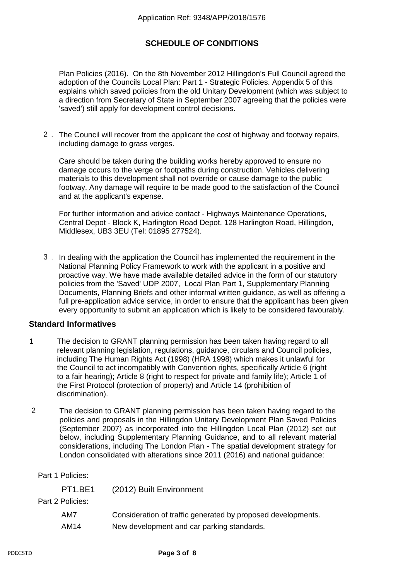Plan Policies (2016). On the 8th November 2012 Hillingdon's Full Council agreed the adoption of the Councils Local Plan: Part 1 - Strategic Policies. Appendix 5 of this explains which saved policies from the old Unitary Development (which was subject to a direction from Secretary of State in September 2007 agreeing that the policies were 'saved') still apply for development control decisions.

2. The Council will recover from the applicant the cost of highway and footway repairs, including damage to grass verges.

Care should be taken during the building works hereby approved to ensure no damage occurs to the verge or footpaths during construction. Vehicles delivering materials to this development shall not override or cause damage to the public footway. Any damage will require to be made good to the satisfaction of the Council and at the applicant's expense.

For further information and advice contact - Highways Maintenance Operations, Central Depot - Block K, Harlington Road Depot, 128 Harlington Road, Hillingdon, Middlesex, UB3 3EU (Tel: 01895 277524).

3. In dealing with the application the Council has implemented the requirement in the National Planning Policy Framework to work with the applicant in a positive and proactive way. We have made available detailed advice in the form of our statutory policies from the 'Saved' UDP 2007, Local Plan Part 1, Supplementary Planning Documents, Planning Briefs and other informal written guidance, as well as offering a full pre-application advice service, in order to ensure that the applicant has been given every opportunity to submit an application which is likely to be considered favourably.

### **Standard Informatives**

- 1 The decision to GRANT planning permission has been taken having regard to all relevant planning legislation, regulations, guidance, circulars and Council policies, including The Human Rights Act (1998) (HRA 1998) which makes it unlawful for the Council to act incompatibly with Convention rights, specifically Article 6 (right to a fair hearing); Article 8 (right to respect for private and family life); Article 1 of the First Protocol (protection of property) and Article 14 (prohibition of discrimination).
- The decision to GRANT planning permission has been taken having regard to the policies and proposals in the Hillingdon Unitary Development Plan Saved Policies (September 2007) as incorporated into the Hillingdon Local Plan (2012) set out below, including Supplementary Planning Guidance, and to all relevant material considerations, including The London Plan - The spatial development strategy for London consolidated with alterations since 2011 (2016) and national guidance: 2

Part 1 Policies:

| (2012) Built Environment                                     |
|--------------------------------------------------------------|
|                                                              |
| Consideration of traffic generated by proposed developments. |
| New development and car parking standards.                   |
|                                                              |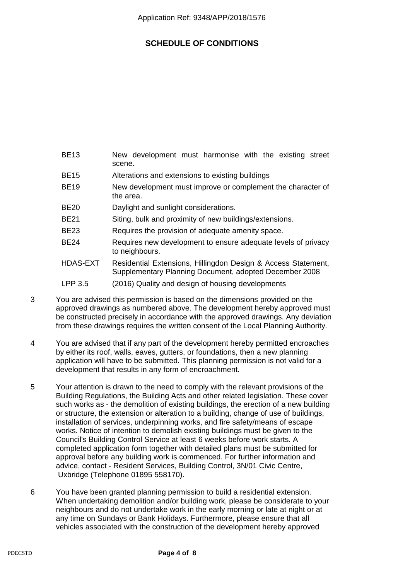- BE13 New development must harmonise with the existing street scene.
- BE15 Alterations and extensions to existing buildings
- BE19 New development must improve or complement the character of the area.
- BE20 Daylight and sunlight considerations.
- BE21 Siting, bulk and proximity of new buildings/extensions.
- BE23 Requires the provision of adequate amenity space.
- BE24 Requires new development to ensure adequate levels of privacy to neighbours.
- HDAS-EXT Residential Extensions, Hillingdon Design & Access Statement, Supplementary Planning Document, adopted December 2008
- LPP 3.5 (2016) Quality and design of housing developments
- 3 You are advised this permission is based on the dimensions provided on the approved drawings as numbered above. The development hereby approved must be constructed precisely in accordance with the approved drawings. Any deviation from these drawings requires the written consent of the Local Planning Authority.
- 4 You are advised that if any part of the development hereby permitted encroaches by either its roof, walls, eaves, gutters, or foundations, then a new planning application will have to be submitted. This planning permission is not valid for a development that results in any form of encroachment.
- 5 Your attention is drawn to the need to comply with the relevant provisions of the Building Regulations, the Building Acts and other related legislation. These cover such works as - the demolition of existing buildings, the erection of a new building or structure, the extension or alteration to a building, change of use of buildings, installation of services, underpinning works, and fire safety/means of escape works. Notice of intention to demolish existing buildings must be given to the Council's Building Control Service at least 6 weeks before work starts. A completed application form together with detailed plans must be submitted for approval before any building work is commenced. For further information and advice, contact - Resident Services, Building Control, 3N/01 Civic Centre, Uxbridge (Telephone 01895 558170).
- 6 You have been granted planning permission to build a residential extension. When undertaking demolition and/or building work, please be considerate to your neighbours and do not undertake work in the early morning or late at night or at any time on Sundays or Bank Holidays. Furthermore, please ensure that all vehicles associated with the construction of the development hereby approved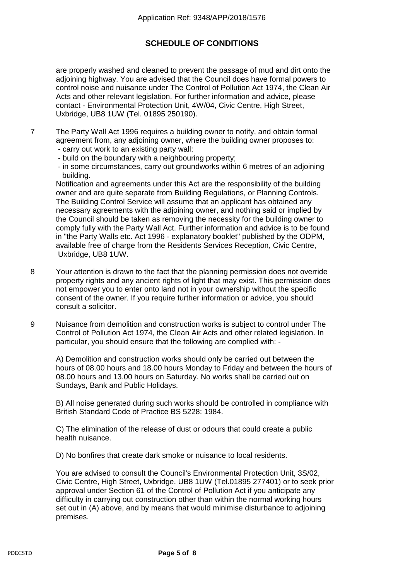are properly washed and cleaned to prevent the passage of mud and dirt onto the adjoining highway. You are advised that the Council does have formal powers to control noise and nuisance under The Control of Pollution Act 1974, the Clean Air Acts and other relevant legislation. For further information and advice, please contact - Environmental Protection Unit, 4W/04, Civic Centre, High Street, Uxbridge, UB8 1UW (Tel. 01895 250190).

7 The Party Wall Act 1996 requires a building owner to notify, and obtain formal agreement from, any adjoining owner, where the building owner proposes to:

- carry out work to an existing party wall;
- build on the boundary with a neighbouring property;
- in some circumstances, carry out groundworks within 6 metres of an adjoining building.

 Notification and agreements under this Act are the responsibility of the building owner and are quite separate from Building Regulations, or Planning Controls. The Building Control Service will assume that an applicant has obtained any necessary agreements with the adjoining owner, and nothing said or implied by the Council should be taken as removing the necessity for the building owner to comply fully with the Party Wall Act. Further information and advice is to be found in "the Party Walls etc. Act 1996 - explanatory booklet" published by the ODPM, available free of charge from the Residents Services Reception, Civic Centre, Uxbridge, UB8 1UW.

- 8 Your attention is drawn to the fact that the planning permission does not override property rights and any ancient rights of light that may exist. This permission does not empower you to enter onto land not in your ownership without the specific consent of the owner. If you require further information or advice, you should consult a solicitor.
- 9 Nuisance from demolition and construction works is subject to control under The Control of Pollution Act 1974, the Clean Air Acts and other related legislation. In particular, you should ensure that the following are complied with: -

 A) Demolition and construction works should only be carried out between the hours of 08.00 hours and 18.00 hours Monday to Friday and between the hours of 08.00 hours and 13.00 hours on Saturday. No works shall be carried out on Sundays, Bank and Public Holidays.

 B) All noise generated during such works should be controlled in compliance with British Standard Code of Practice BS 5228: 1984.

 C) The elimination of the release of dust or odours that could create a public health nuisance.

D) No bonfires that create dark smoke or nuisance to local residents.

 You are advised to consult the Council's Environmental Protection Unit, 3S/02, Civic Centre, High Street, Uxbridge, UB8 1UW (Tel.01895 277401) or to seek prior approval under Section 61 of the Control of Pollution Act if you anticipate any difficulty in carrying out construction other than within the normal working hours set out in (A) above, and by means that would minimise disturbance to adjoining premises.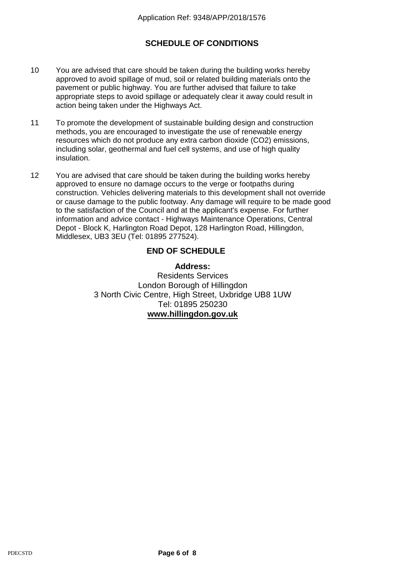- 10 You are advised that care should be taken during the building works hereby approved to avoid spillage of mud, soil or related building materials onto the pavement or public highway. You are further advised that failure to take appropriate steps to avoid spillage or adequately clear it away could result in action being taken under the Highways Act.
- 11 To promote the development of sustainable building design and construction methods, you are encouraged to investigate the use of renewable energy resources which do not produce any extra carbon dioxide (CO2) emissions, including solar, geothermal and fuel cell systems, and use of high quality insulation.
- 12 You are advised that care should be taken during the building works hereby approved to ensure no damage occurs to the verge or footpaths during construction. Vehicles delivering materials to this development shall not override or cause damage to the public footway. Any damage will require to be made good to the satisfaction of the Council and at the applicant's expense. For further information and advice contact - Highways Maintenance Operations, Central Depot - Block K, Harlington Road Depot, 128 Harlington Road, Hillingdon, Middlesex, UB3 3EU (Tel: 01895 277524).

### **END OF SCHEDULE**

### **Address:**

Residents Services London Borough of Hillingdon 3 North Civic Centre, High Street, Uxbridge UB8 1UW Tel: 01895 250230 **www.hillingdon.gov.uk**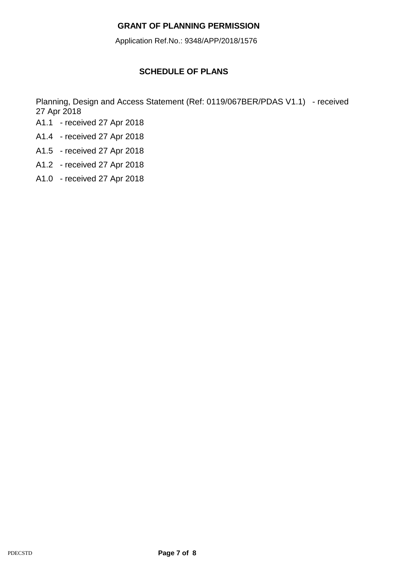## **GRANT OF PLANNING PERMISSION**

Application Ref.No.: 9348/APP/2018/1576

# **SCHEDULE OF PLANS**

Planning, Design and Access Statement (Ref: 0119/067BER/PDAS V1.1) - received 27 Apr 2018

- A1.1 received 27 Apr 2018
- A1.4 received 27 Apr 2018
- A1.5 received 27 Apr 2018
- A1.2 received 27 Apr 2018
- A1.0 received 27 Apr 2018